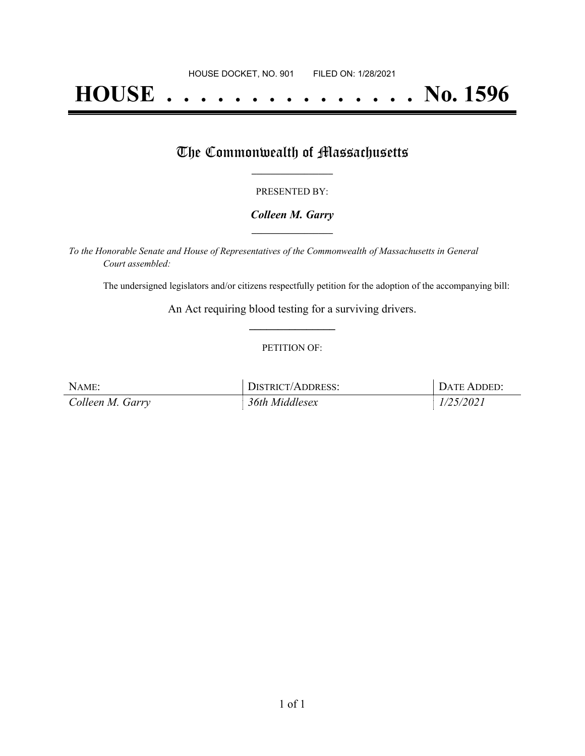# **HOUSE . . . . . . . . . . . . . . . No. 1596**

## The Commonwealth of Massachusetts

#### PRESENTED BY:

#### *Colleen M. Garry* **\_\_\_\_\_\_\_\_\_\_\_\_\_\_\_\_\_**

*To the Honorable Senate and House of Representatives of the Commonwealth of Massachusetts in General Court assembled:*

The undersigned legislators and/or citizens respectfully petition for the adoption of the accompanying bill:

An Act requiring blood testing for a surviving drivers. **\_\_\_\_\_\_\_\_\_\_\_\_\_\_\_**

#### PETITION OF:

| NAME:            | DISTRICT/ADDRESS: | <sub>i</sub> Date Added: |
|------------------|-------------------|--------------------------|
| Colleen M. Garry | 36th Middlesex    | 1/25/2021                |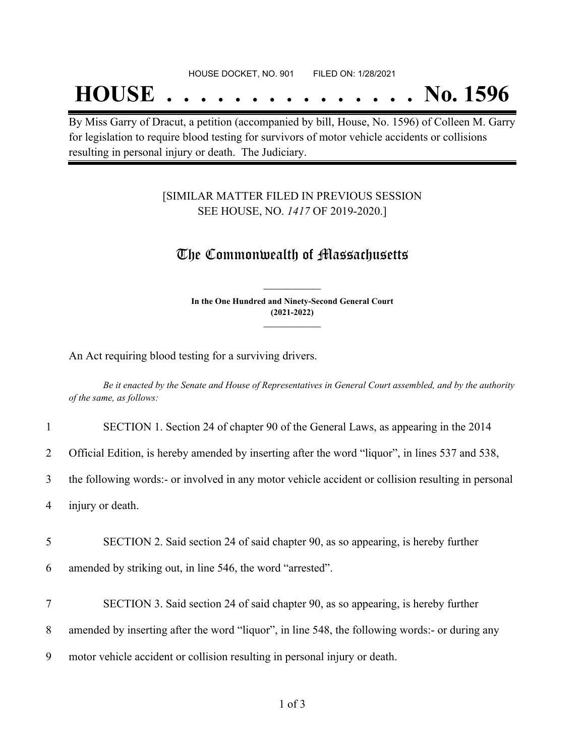# **HOUSE . . . . . . . . . . . . . . . No. 1596**

By Miss Garry of Dracut, a petition (accompanied by bill, House, No. 1596) of Colleen M. Garry for legislation to require blood testing for survivors of motor vehicle accidents or collisions resulting in personal injury or death. The Judiciary.

### [SIMILAR MATTER FILED IN PREVIOUS SESSION SEE HOUSE, NO. *1417* OF 2019-2020.]

## The Commonwealth of Massachusetts

**In the One Hundred and Ninety-Second General Court (2021-2022) \_\_\_\_\_\_\_\_\_\_\_\_\_\_\_**

**\_\_\_\_\_\_\_\_\_\_\_\_\_\_\_**

An Act requiring blood testing for a surviving drivers.

Be it enacted by the Senate and House of Representatives in General Court assembled, and by the authority *of the same, as follows:*

|                | SECTION 1. Section 24 of chapter 90 of the General Laws, as appearing in the 2014                  |
|----------------|----------------------------------------------------------------------------------------------------|
| $\overline{2}$ | Official Edition, is hereby amended by inserting after the word "liquor", in lines 537 and 538,    |
| $\overline{3}$ | the following words:- or involved in any motor vehicle accident or collision resulting in personal |
| 4              | injury or death.                                                                                   |
|                |                                                                                                    |
| 5              | SECTION 2. Said section 24 of said chapter 90, as so appearing, is hereby further                  |
| 6              | amended by striking out, in line 546, the word "arrested".                                         |
|                |                                                                                                    |
| $\tau$         | SECTION 3. Said section 24 of said chapter 90, as so appearing, is hereby further                  |
| 8              | amended by inserting after the word "liquor", in line 548, the following words:- or during any     |
| 9              | motor vehicle accident or collision resulting in personal injury or death.                         |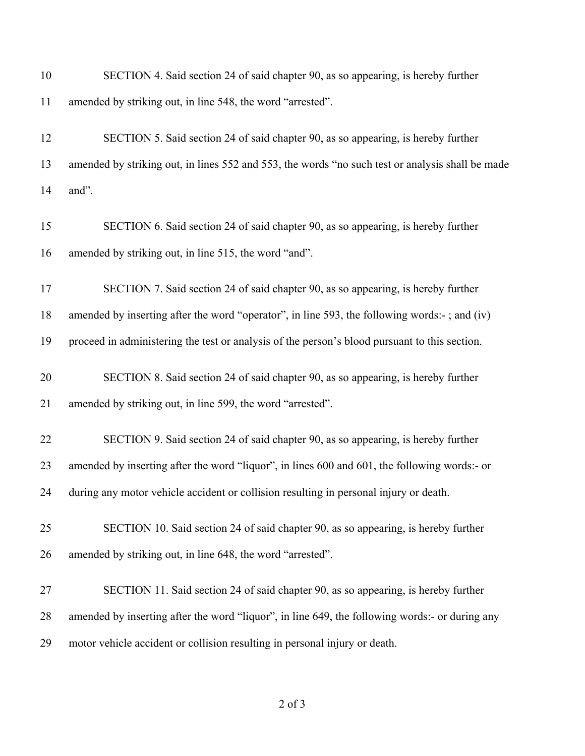| 10 | SECTION 4. Said section 24 of said chapter 90, as so appearing, is hereby further                |
|----|--------------------------------------------------------------------------------------------------|
| 11 | amended by striking out, in line 548, the word "arrested".                                       |
| 12 | SECTION 5. Said section 24 of said chapter 90, as so appearing, is hereby further                |
| 13 | amended by striking out, in lines 552 and 553, the words "no such test or analysis shall be made |
| 14 | and".                                                                                            |
| 15 | SECTION 6. Said section 24 of said chapter 90, as so appearing, is hereby further                |
| 16 | amended by striking out, in line 515, the word "and".                                            |
| 17 | SECTION 7. Said section 24 of said chapter 90, as so appearing, is hereby further                |
| 18 | amended by inserting after the word "operator", in line 593, the following words:-; and (iv)     |
| 19 | proceed in administering the test or analysis of the person's blood pursuant to this section.    |
| 20 | SECTION 8. Said section 24 of said chapter 90, as so appearing, is hereby further                |
| 21 | amended by striking out, in line 599, the word "arrested".                                       |
| 22 | SECTION 9. Said section 24 of said chapter 90, as so appearing, is hereby further                |
| 23 | amended by inserting after the word "liquor", in lines 600 and 601, the following words:- or     |
| 24 | during any motor vehicle accident or collision resulting in personal injury or death.            |
| 25 | SECTION 10. Said section 24 of said chapter 90, as so appearing, is hereby further               |
| 26 | amended by striking out, in line 648, the word "arrested".                                       |
| 27 | SECTION 11. Said section 24 of said chapter 90, as so appearing, is hereby further               |
| 28 | amended by inserting after the word "liquor", in line 649, the following words:- or during any   |
| 29 | motor vehicle accident or collision resulting in personal injury or death.                       |

### of 3